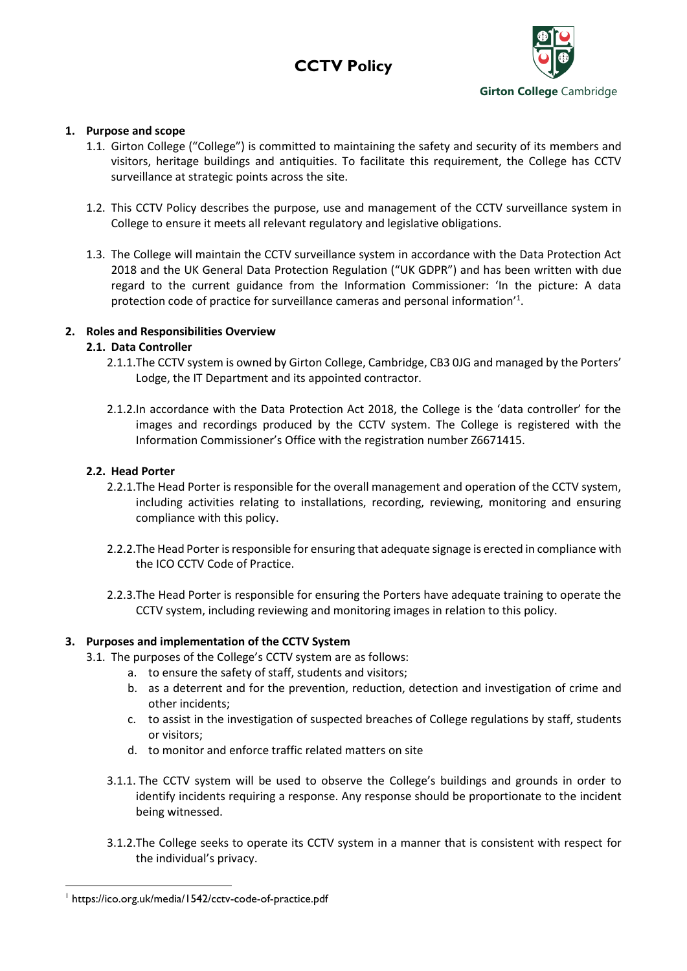



# **1. Purpose and scope**

- 1.1. Girton College ("College") is committed to maintaining the safety and security of its members and visitors, heritage buildings and antiquities. To facilitate this requirement, the College has CCTV surveillance at strategic points across the site.
- 1.2. This CCTV Policy describes the purpose, use and management of the CCTV surveillance system in College to ensure it meets all relevant regulatory and legislative obligations.
- 1.3. The College will maintain the CCTV surveillance system in accordance with the Data Protection Act 2018 and the UK General Data Protection Regulation ("UK GDPR") and has been written with due regard to the current guidance from the Information Commissioner: 'In the picture: A data protection code of practice for surveillance cameras and personal information'<sup>1</sup>.

## **2. Roles and Responsibilities Overview**

## **2.1. Data Controller**

- 2.1.1.The CCTV system is owned by Girton College, Cambridge, CB3 0JG and managed by the Porters' Lodge, the IT Department and its appointed contractor.
- 2.1.2.In accordance with the Data Protection Act 2018, the College is the 'data controller' for the images and recordings produced by the CCTV system. The College is registered with the Information Commissioner's Office with the registration number Z6671415.

#### **2.2. Head Porter**

- 2.2.1.The Head Porter is responsible for the overall management and operation of the CCTV system, including activities relating to installations, recording, reviewing, monitoring and ensuring compliance with this policy.
- 2.2.2.The Head Porter is responsible for ensuring that adequate signage is erected in compliance with the ICO CCTV Code of Practice.
- 2.2.3.The Head Porter is responsible for ensuring the Porters have adequate training to operate the CCTV system, including reviewing and monitoring images in relation to this policy.

#### **3. Purposes and implementation of the CCTV System**

- 3.1. The purposes of the College's CCTV system are as follows:
	- a. to ensure the safety of staff, students and visitors;
	- b. as a deterrent and for the prevention, reduction, detection and investigation of crime and other incidents;
	- c. to assist in the investigation of suspected breaches of College regulations by staff, students or visitors;
	- d. to monitor and enforce traffic related matters on site
	- 3.1.1. The CCTV system will be used to observe the College's buildings and grounds in order to identify incidents requiring a response. Any response should be proportionate to the incident being witnessed.
	- 3.1.2.The College seeks to operate its CCTV system in a manner that is consistent with respect for the individual's privacy.

<sup>1</sup> https://ico.org.uk/media/1542/cctv-code-of-practice.pdf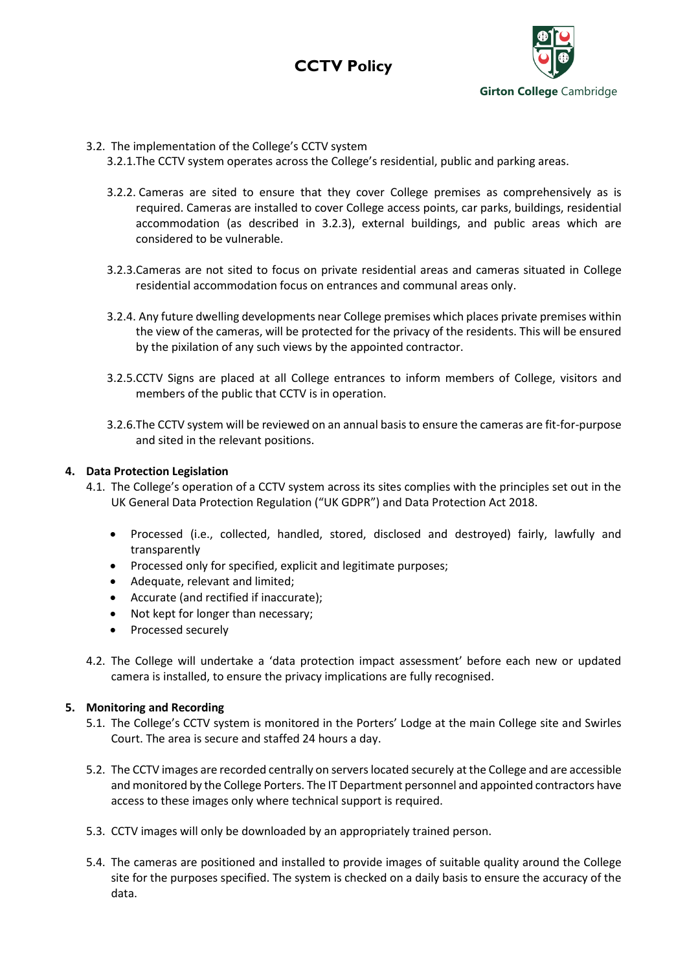



## 3.2. The implementation of the College's CCTV system

3.2.1.The CCTV system operates across the College's residential, public and parking areas.

- 3.2.2. Cameras are sited to ensure that they cover College premises as comprehensively as is required. Cameras are installed to cover College access points, car parks, buildings, residential accommodation (as described in 3.2.3), external buildings, and public areas which are considered to be vulnerable.
- 3.2.3.Cameras are not sited to focus on private residential areas and cameras situated in College residential accommodation focus on entrances and communal areas only.
- 3.2.4. Any future dwelling developments near College premises which places private premises within the view of the cameras, will be protected for the privacy of the residents. This will be ensured by the pixilation of any such views by the appointed contractor.
- 3.2.5.CCTV Signs are placed at all College entrances to inform members of College, visitors and members of the public that CCTV is in operation.
- 3.2.6.The CCTV system will be reviewed on an annual basis to ensure the cameras are fit-for-purpose and sited in the relevant positions.

## **4. Data Protection Legislation**

- 4.1. The College's operation of a CCTV system across its sites complies with the principles set out in the UK General Data Protection Regulation ("UK GDPR") and Data Protection Act 2018.
	- Processed (i.e., collected, handled, stored, disclosed and destroyed) fairly, lawfully and transparently
	- Processed only for specified, explicit and legitimate purposes;
	- Adequate, relevant and limited;
	- Accurate (and rectified if inaccurate);
	- Not kept for longer than necessary;
	- Processed securely
- 4.2. The College will undertake a 'data protection impact assessment' before each new or updated camera is installed, to ensure the privacy implications are fully recognised.

#### **5. Monitoring and Recording**

- 5.1. The College's CCTV system is monitored in the Porters' Lodge at the main College site and Swirles Court. The area is secure and staffed 24 hours a day.
- 5.2. The CCTV images are recorded centrally on servers located securely at the College and are accessible and monitored by the College Porters. The IT Department personnel and appointed contractors have access to these images only where technical support is required.
- 5.3. CCTV images will only be downloaded by an appropriately trained person.
- 5.4. The cameras are positioned and installed to provide images of suitable quality around the College site for the purposes specified. The system is checked on a daily basis to ensure the accuracy of the data.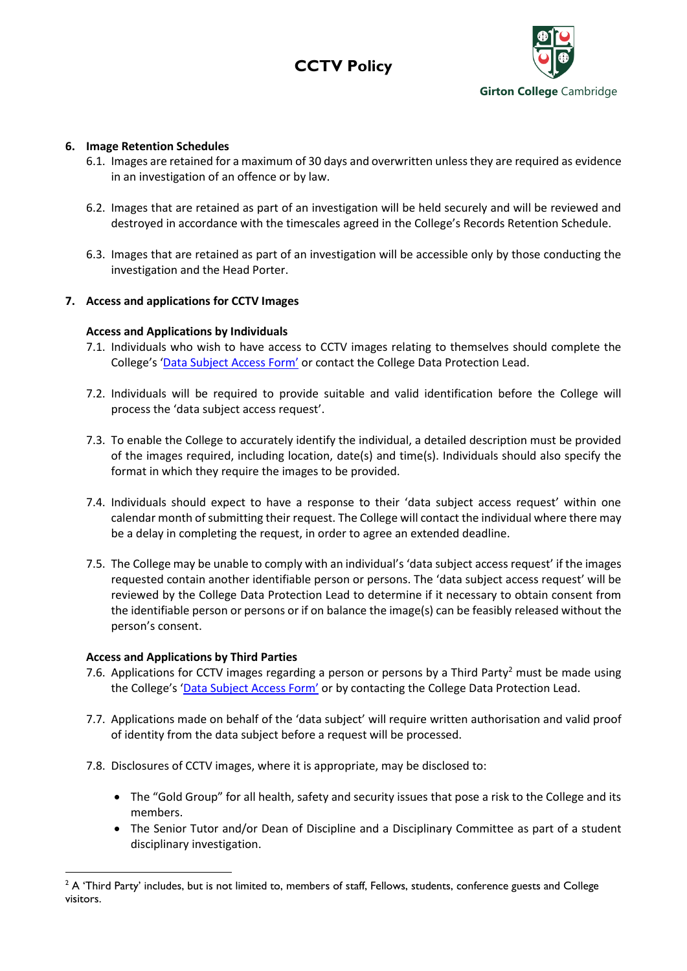# **CCTV Policy**



## **6. Image Retention Schedules**

- 6.1. Images are retained for a maximum of 30 days and overwritten unless they are required as evidence in an investigation of an offence or by law.
- 6.2. Images that are retained as part of an investigation will be held securely and will be reviewed and destroyed in accordance with the timescales agreed in the College's Records Retention Schedule.
- 6.3. Images that are retained as part of an investigation will be accessible only by those conducting the investigation and the Head Porter.

# **7. Access and applications for CCTV Images**

## **Access and Applications by Individuals**

- 7.1. Individuals who wish to have access to CCTV images relating to themselves should complete the College's ['Data Subject Access Form'](https://www.girton.cam.ac.uk/wp-content/uploads/2018/05/DataSubjectAccessForm2018.pdf) or contact the College Data Protection Lead.
- 7.2. Individuals will be required to provide suitable and valid identification before the College will process the 'data subject access request'.
- 7.3. To enable the College to accurately identify the individual, a detailed description must be provided of the images required, including location, date(s) and time(s). Individuals should also specify the format in which they require the images to be provided.
- 7.4. Individuals should expect to have a response to their 'data subject access request' within one calendar month of submitting their request. The College will contact the individual where there may be a delay in completing the request, in order to agree an extended deadline.
- 7.5. The College may be unable to comply with an individual's 'data subject access request' if the images requested contain another identifiable person or persons. The 'data subject access request' will be reviewed by the College Data Protection Lead to determine if it necessary to obtain consent from the identifiable person or persons or if on balance the image(s) can be feasibly released without the person's consent.

#### **Access and Applications by Third Parties**

- 7.6. Applications for CCTV images regarding a person or persons by a Third Party<sup>2</sup> must be made using the College's ['Data Subject Access Form'](https://www.girton.cam.ac.uk/wp-content/uploads/2018/05/DataSubjectAccessForm2018.pdf) or by contacting the College Data Protection Lead.
- 7.7. Applications made on behalf of the 'data subject' will require written authorisation and valid proof of identity from the data subject before a request will be processed.
- 7.8. Disclosures of CCTV images, where it is appropriate, may be disclosed to:
	- The "Gold Group" for all health, safety and security issues that pose a risk to the College and its members.
	- The Senior Tutor and/or Dean of Discipline and a Disciplinary Committee as part of a student disciplinary investigation.

 $2$  A 'Third Party' includes, but is not limited to, members of staff, Fellows, students, conference guests and College visitors.